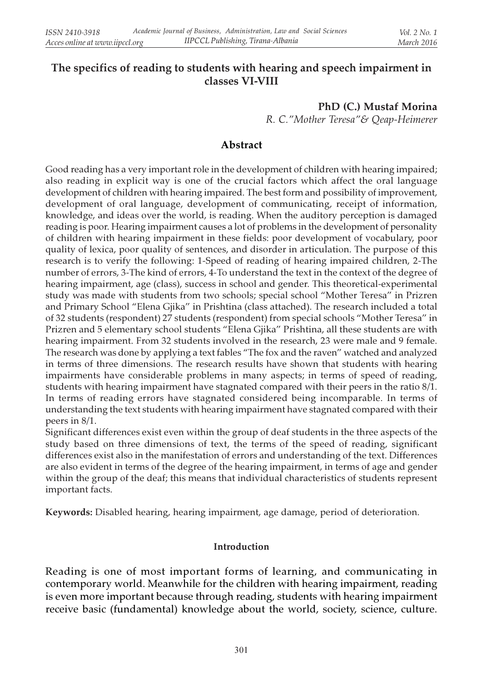## The specifics of reading to students with hearing and speech impairment in classes VI-VIII

PhD (C.) Mustaf Morina R. C."Mother Teresa"& Qeap-Heimerer

### Abstract

Good reading has a very important role in the development of children with hearing impaired; also reading in explicit way is one of the crucial factors which affect the oral language development of children with hearing impaired. The best form and possibility of improvement, development of oral language, development of communicating, receipt of information, knowledge, and ideas over the world, is reading. When the auditory perception is damaged reading is poor. Hearing impairment causes a lot of problems in the development of personality of children with hearing impairment in these fields: poor development of vocabulary, poor quality of lexica, poor quality of sentences, and disorder in articulation. The purpose of this research is to verify the following: 1-Speed of reading of hearing impaired children, 2-The number of errors, 3-The kind of errors, 4-To understand the text in the context of the degree of hearing impairment, age (class), success in school and gender. This theoretical-experimental study was made with students from two schools; special school "Mother Teresa" in Prizren and Primary School "Elena Gjika" in Prishtina (class attached). The research included a total of 32 students (respondent) 27 students (respondent) from special schools "Mother Teresa" in Prizren and 5 elementary school students "Elena Gjika" Prishtina, all these students are with hearing impairment. From 32 students involved in the research, 23 were male and 9 female. The research was done by applying a text fables "The fox and the raven" watched and analyzed in terms of three dimensions. The research results have shown that students with hearing impairments have considerable problems in many aspects; in terms of speed of reading, students with hearing impairment have stagnated compared with their peers in the ratio 8/1. In terms of reading errors have stagnated considered being incomparable. In terms of understanding the text students with hearing impairment have stagnated compared with their peers in 8/1.

Significant differences exist even within the group of deaf students in the three aspects of the study based on three dimensions of text, the terms of the speed of reading, significant differences exist also in the manifestation of errors and understanding of the text. Differences are also evident in terms of the degree of the hearing impairment, in terms of age and gender within the group of the deaf; this means that individual characteristics of students represent important facts.

Keywords: Disabled hearing, hearing impairment, age damage, period of deterioration.

#### Introduction

Reading is one of most important forms of learning, and communicating in contemporary world. Meanwhile for the children with hearing impairment, reading is even more important because through reading, students with hearing impairment receive basic (fundamental) knowledge about the world, society, science, culture.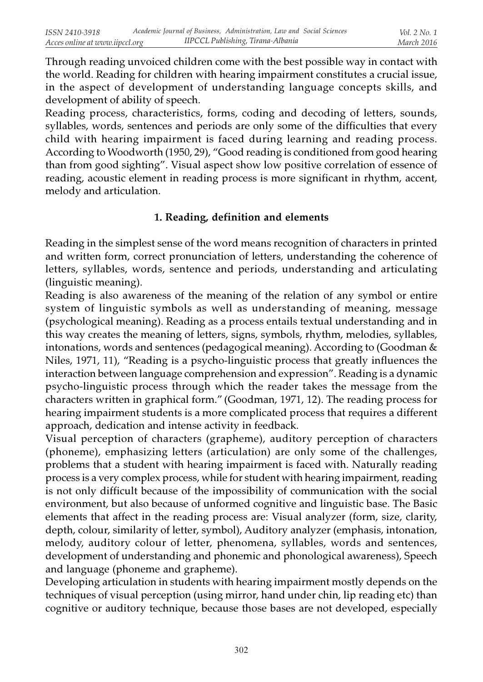Through reading unvoiced children come with the best possible way in contact with the world. Reading for children with hearing impairment constitutes a crucial issue, in the aspect of development of understanding language concepts skills, and development of ability of speech.

Reading process, characteristics, forms, coding and decoding of letters, sounds, syllables, words, sentences and periods are only some of the difficulties that every child with hearing impairment is faced during learning and reading process. According to Woodworth (1950, 29), "Good reading is conditioned from good hearing than from good sighting". Visual aspect show low positive correlation of essence of reading, acoustic element in reading process is more significant in rhythm, accent, melody and articulation.

#### 1. Reading, definition and elements

Reading in the simplest sense of the word means recognition of characters in printed and written form, correct pronunciation of letters, understanding the coherence of letters, syllables, words, sentence and periods, understanding and articulating (linguistic meaning).

Reading is also awareness of the meaning of the relation of any symbol or entire system of linguistic symbols as well as understanding of meaning, message (psychological meaning). Reading as a process entails textual understanding and in this way creates the meaning of letters, signs, symbols, rhythm, melodies, syllables, intonations, words and sentences (pedagogical meaning). According to (Goodman & Niles, 1971, 11), "Reading is a psycho-linguistic process that greatly influences the interaction between language comprehension and expression". Reading is a dynamic psycho-linguistic process through which the reader takes the message from the characters written in graphical form." (Goodman, 1971, 12). The reading process for hearing impairment students is a more complicated process that requires a different approach, dedication and intense activity in feedback.

Visual perception of characters (grapheme), auditory perception of characters (phoneme), emphasizing letters (articulation) are only some of the challenges, problems that a student with hearing impairment is faced with. Naturally reading process is a very complex process, while for student with hearing impairment, reading is not only difficult because of the impossibility of communication with the social environment, but also because of unformed cognitive and linguistic base. The Basic elements that affect in the reading process are: Visual analyzer (form, size, clarity, depth, colour, similarity of letter, symbol), Auditory analyzer (emphasis, intonation, melody, auditory colour of letter, phenomena, syllables, words and sentences, development of understanding and phonemic and phonological awareness), Speech and language (phoneme and grapheme).

Developing articulation in students with hearing impairment mostly depends on the techniques of visual perception (using mirror, hand under chin, lip reading etc) than cognitive or auditory technique, because those bases are not developed, especially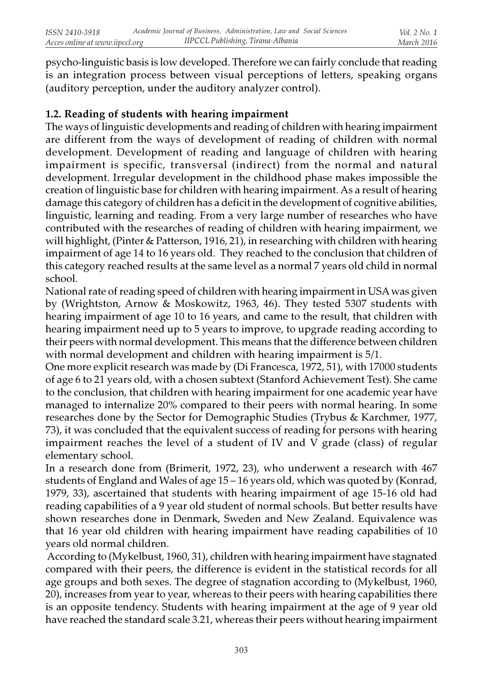psycho-linguistic basis is low developed. Therefore we can fairly conclude that reading is an integration process between visual perceptions of letters, speaking organs (auditory perception, under the auditory analyzer control).

## 1.2. Reading of students with hearing impairment

The ways of linguistic developments and reading of children with hearing impairment are different from the ways of development of reading of children with normal development. Development of reading and language of children with hearing impairment is specific, transversal (indirect) from the normal and natural development. Irregular development in the childhood phase makes impossible the creation of linguistic base for children with hearing impairment. As a result of hearing damage this category of children has a deficit in the development of cognitive abilities, linguistic, learning and reading. From a very large number of researches who have contributed with the researches of reading of children with hearing impairment, we will highlight, (Pinter & Patterson, 1916, 21), in researching with children with hearing impairment of age 14 to 16 years old. They reached to the conclusion that children of this category reached results at the same level as a normal 7 years old child in normal school.

National rate of reading speed of children with hearing impairment in USA was given by (Wrightston, Arnow & Moskowitz, 1963, 46). They tested 5307 students with hearing impairment of age 10 to 16 years, and came to the result, that children with hearing impairment need up to 5 years to improve, to upgrade reading according to their peers with normal development. This means that the difference between children with normal development and children with hearing impairment is 5/1.

One more explicit research was made by (Di Francesca, 1972, 51), with 17000 students of age 6 to 21 years old, with a chosen subtext (Stanford Achievement Test). She came to the conclusion, that children with hearing impairment for one academic year have managed to internalize 20% compared to their peers with normal hearing. In some researches done by the Sector for Demographic Studies (Trybus & Karchmer, 1977, 73), it was concluded that the equivalent success of reading for persons with hearing impairment reaches the level of a student of IV and V grade (class) of regular elementary school.

In a research done from (Brimerit, 1972, 23), who underwent a research with 467 students of England and Wales of age 15 – 16 years old, which was quoted by (Konrad, 1979, 33), ascertained that students with hearing impairment of age 15-16 old had reading capabilities of a 9 year old student of normal schools. But better results have shown researches done in Denmark, Sweden and New Zealand. Equivalence was that 16 year old children with hearing impairment have reading capabilities of 10 years old normal children.

 According to (Mykelbust, 1960, 31), children with hearing impairment have stagnated compared with their peers, the difference is evident in the statistical records for all age groups and both sexes. The degree of stagnation according to (Mykelbust, 1960, 20), increases from year to year, whereas to their peers with hearing capabilities there is an opposite tendency. Students with hearing impairment at the age of 9 year old have reached the standard scale 3.21, whereas their peers without hearing impairment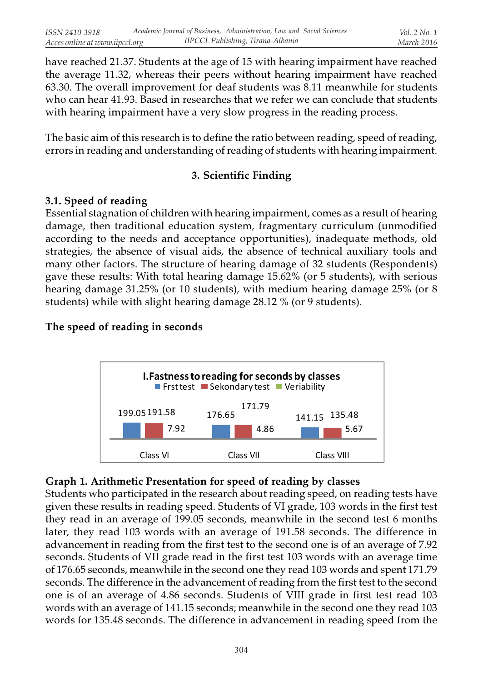have reached 21.37. Students at the age of 15 with hearing impairment have reached the average 11.32, whereas their peers without hearing impairment have reached 63.30. The overall improvement for deaf students was 8.11 meanwhile for students who can hear 41.93. Based in researches that we refer we can conclude that students with hearing impairment have a very slow progress in the reading process.

The basic aim of this research is to define the ratio between reading, speed of reading, errors in reading and understanding of reading of students with hearing impairment.

# 3. Scientific Finding

## 3.1. Speed of reading

Essential stagnation of children with hearing impairment, comes as a result of hearing damage, then traditional education system, fragmentary curriculum (unmodified according to the needs and acceptance opportunities), inadequate methods, old strategies, the absence of visual aids, the absence of technical auxiliary tools and many other factors. The structure of hearing damage of 32 students (Respondents) gave these results: With total hearing damage 15.62% (or 5 students), with serious hearing damage 31.25% (or 10 students), with medium hearing damage 25% (or 8 students) while with slight hearing damage 28.12 % (or 9 students).

## The speed of reading in seconds



## Graph 1. Arithmetic Presentation for speed of reading by classes

Students who participated in the research about reading speed, on reading tests have given these results in reading speed. Students of VI grade, 103 words in the first test they read in an average of 199.05 seconds, meanwhile in the second test 6 months later, they read 103 words with an average of 191.58 seconds. The difference in advancement in reading from the first test to the second one is of an average of 7.92 seconds. Students of VII grade read in the first test 103 words with an average time of 176.65 seconds, meanwhile in the second one they read 103 words and spent 171.79 seconds. The difference in the advancement of reading from the first test to the second one is of an average of 4.86 seconds. Students of VIII grade in first test read 103 words with an average of 141.15 seconds; meanwhile in the second one they read 103 words for 135.48 seconds. The difference in advancement in reading speed from the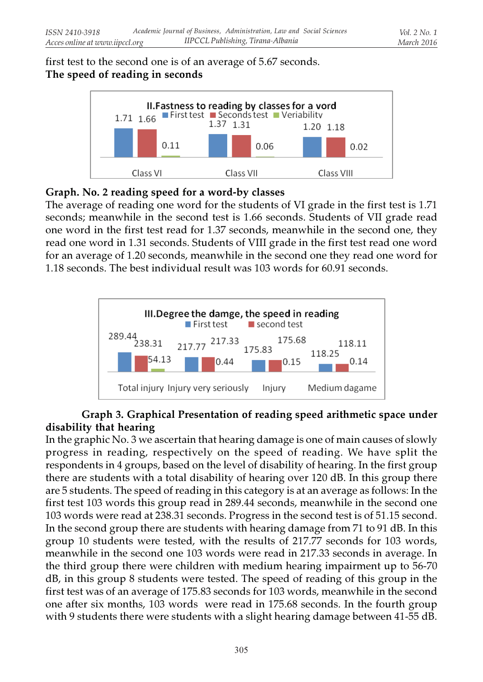## first test to the second one is of an average of 5.67 seconds. The speed of reading in seconds



## Graph. No. 2 reading speed for a word-by classes

The average of reading one word for the students of VI grade in the first test is 1.71 seconds; meanwhile in the second test is 1.66 seconds. Students of VII grade read one word in the first test read for 1.37 seconds, meanwhile in the second one, they read one word in 1.31 seconds. Students of VIII grade in the first test read one word for an average of 1.20 seconds, meanwhile in the second one they read one word for 1.18 seconds. The best individual result was 103 words for 60.91 seconds.



## Graph 3. Graphical Presentation of reading speed arithmetic space under disability that hearing

In the graphic No. 3 we ascertain that hearing damage is one of main causes of slowly progress in reading, respectively on the speed of reading. We have split the respondents in 4 groups, based on the level of disability of hearing. In the first group there are students with a total disability of hearing over 120 dB. In this group there are 5 students. The speed of reading in this category is at an average as follows: In the first test 103 words this group read in 289.44 seconds, meanwhile in the second one 103 words were read at 238.31 seconds. Progress in the second test is of 51.15 second. In the second group there are students with hearing damage from 71 to 91 dB. In this group 10 students were tested, with the results of 217.77 seconds for 103 words, meanwhile in the second one 103 words were read in 217.33 seconds in average. In the third group there were children with medium hearing impairment up to 56-70 dB, in this group 8 students were tested. The speed of reading of this group in the first test was of an average of 175.83 seconds for 103 words, meanwhile in the second one after six months, 103 words were read in 175.68 seconds. In the fourth group with 9 students there were students with a slight hearing damage between 41-55 dB.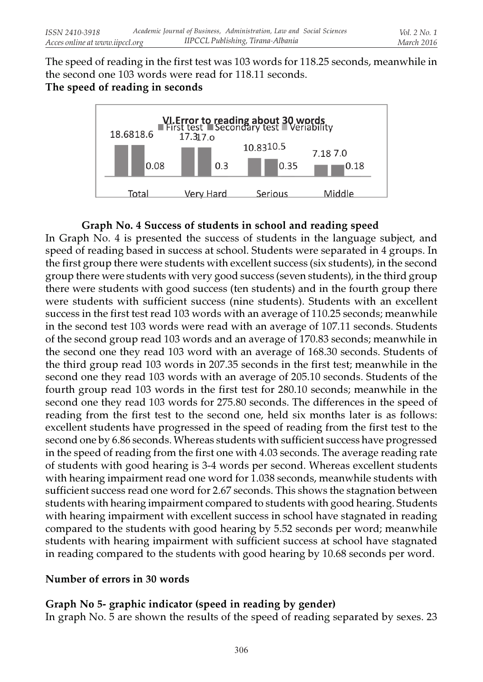The speed of reading in the first test was 103 words for 118.25 seconds, meanwhile in the second one 103 words were read for 118.11 seconds. The speed of reading in seconds



## Graph No. 4 Success of students in school and reading speed

In Graph No. 4 is presented the success of students in the language subject, and speed of reading based in success at school. Students were separated in 4 groups. In the first group there were students with excellent success (six students), in the second group there were students with very good success (seven students), in the third group there were students with good success (ten students) and in the fourth group there were students with sufficient success (nine students). Students with an excellent success in the first test read 103 words with an average of 110.25 seconds; meanwhile in the second test 103 words were read with an average of 107.11 seconds. Students of the second group read 103 words and an average of 170.83 seconds; meanwhile in the second one they read 103 word with an average of 168.30 seconds. Students of the third group read 103 words in 207.35 seconds in the first test; meanwhile in the second one they read 103 words with an average of 205.10 seconds. Students of the fourth group read 103 words in the first test for 280.10 seconds; meanwhile in the second one they read 103 words for 275.80 seconds. The differences in the speed of reading from the first test to the second one, held six months later is as follows: excellent students have progressed in the speed of reading from the first test to the second one by 6.86 seconds. Whereas students with sufficient success have progressed in the speed of reading from the first one with 4.03 seconds. The average reading rate of students with good hearing is 3-4 words per second. Whereas excellent students with hearing impairment read one word for 1.038 seconds, meanwhile students with sufficient success read one word for 2.67 seconds. This shows the stagnation between students with hearing impairment compared to students with good hearing. Students with hearing impairment with excellent success in school have stagnated in reading compared to the students with good hearing by 5.52 seconds per word; meanwhile students with hearing impairment with sufficient success at school have stagnated in reading compared to the students with good hearing by 10.68 seconds per word.

## Number of errors in 30 words

# Graph No 5- graphic indicator (speed in reading by gender)

In graph No. 5 are shown the results of the speed of reading separated by sexes. 23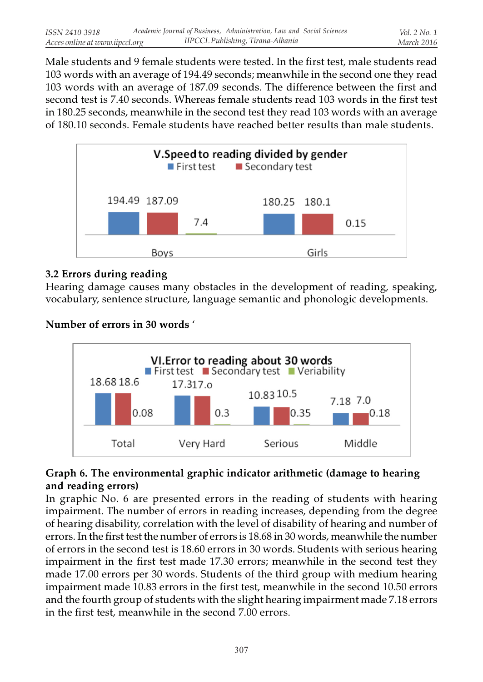Male students and 9 female students were tested. In the first test, male students read 103 words with an average of 194.49 seconds; meanwhile in the second one they read 103 words with an average of 187.09 seconds. The difference between the first and second test is 7.40 seconds. Whereas female students read 103 words in the first test in 180.25 seconds, meanwhile in the second test they read 103 words with an average of 180.10 seconds. Female students have reached better results than male students.



## 3.2 Errors during reading

Hearing damage causes many obstacles in the development of reading, speaking, vocabulary, sentence structure, language semantic and phonologic developments.

Number of errors in 30 words '



## Graph 6. The environmental graphic indicator arithmetic (damage to hearing and reading errors)

In graphic No. 6 are presented errors in the reading of students with hearing impairment. The number of errors in reading increases, depending from the degree of hearing disability, correlation with the level of disability of hearing and number of errors. In the first test the number of errors is 18.68 in 30 words, meanwhile the number of errors in the second test is 18.60 errors in 30 words. Students with serious hearing impairment in the first test made 17.30 errors; meanwhile in the second test they made 17.00 errors per 30 words. Students of the third group with medium hearing impairment made 10.83 errors in the first test, meanwhile in the second 10.50 errors and the fourth group of students with the slight hearing impairment made 7.18 errors in the first test, meanwhile in the second 7.00 errors.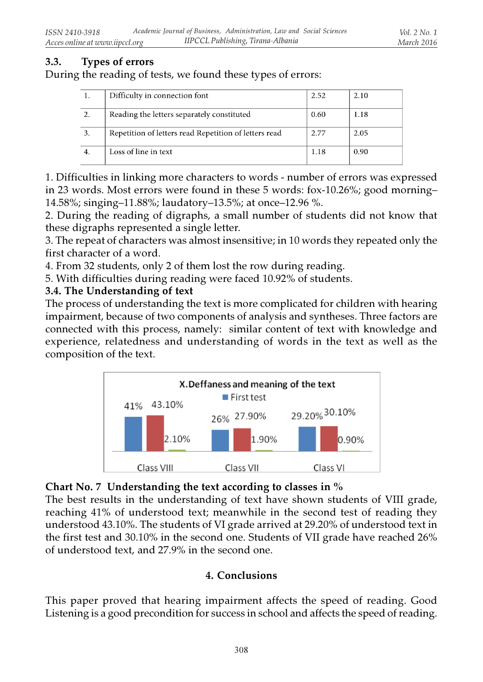# 3.3. Types of errors

During the reading of tests, we found these types of errors:

| Difficulty in connection font                         | 2.52 | 2.10 |
|-------------------------------------------------------|------|------|
| Reading the letters separately constituted            | 0.60 | 1.18 |
| Repetition of letters read Repetition of letters read | 2.77 | 2.05 |
| Loss of line in text                                  | 1.18 | 0.90 |

1. Difficulties in linking more characters to words - number of errors was expressed in 23 words. Most errors were found in these 5 words: fox-10.26%; good morning– 14.58%; singing–11.88%; laudatory–13.5%; at once–12.96 %.

2. During the reading of digraphs, a small number of students did not know that these digraphs represented a single letter.

3. The repeat of characters was almost insensitive; in 10 words they repeated only the first character of a word.

4. From 32 students, only 2 of them lost the row during reading.

5. With difficulties during reading were faced 10.92% of students.

#### 3.4. The Understanding of text

The process of understanding the text is more complicated for children with hearing impairment, because of two components of analysis and syntheses. Three factors are connected with this process, namely: similar content of text with knowledge and experience, relatedness and understanding of words in the text as well as the composition of the text.



#### Chart No. 7 Understanding the text according to classes in %

The best results in the understanding of text have shown students of VIII grade, reaching 41% of understood text; meanwhile in the second test of reading they understood 43.10%. The students of VI grade arrived at 29.20% of understood text in the first test and 30.10% in the second one. Students of VII grade have reached 26% of understood text, and 27.9% in the second one.

#### 4. Conclusions

This paper proved that hearing impairment affects the speed of reading. Good Listening is a good precondition for success in school and affects the speed of reading.